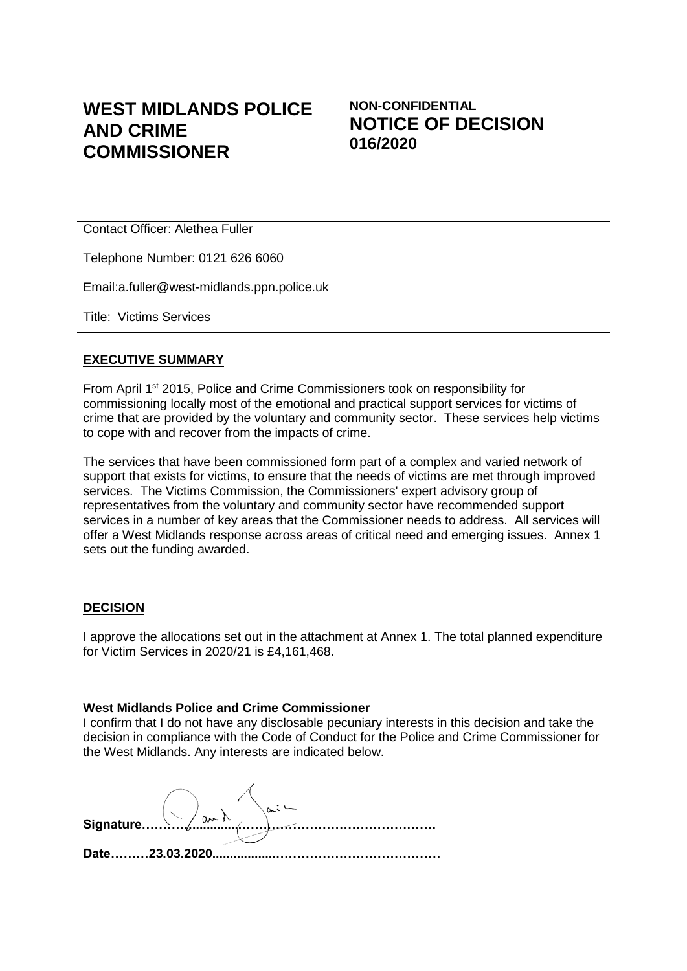# **WEST MIDLANDS POLICE AND CRIME COMMISSIONER**

## **NON-CONFIDENTIAL NOTICE OF DECISION 016/2020**

Contact Officer: Alethea Fuller

Telephone Number: 0121 626 6060

Email:a.fuller@west-midlands.ppn.police.uk

Title: Victims Services

#### **EXECUTIVE SUMMARY**

From April 1st 2015, Police and Crime Commissioners took on responsibility for commissioning locally most of the emotional and practical support services for victims of crime that are provided by the voluntary and community sector. These services help victims to cope with and recover from the impacts of crime.

The services that have been commissioned form part of a complex and varied network of support that exists for victims, to ensure that the needs of victims are met through improved services. The Victims Commission, the Commissioners' expert advisory group of representatives from the voluntary and community sector have recommended support services in a number of key areas that the Commissioner needs to address. All services will offer a West Midlands response across areas of critical need and emerging issues. Annex 1 sets out the funding awarded.

#### **DECISION**

I approve the allocations set out in the attachment at Annex 1. The total planned expenditure for Victim Services in 2020/21 is £4,161,468.

#### **West Midlands Police and Crime Commissioner**

I confirm that I do not have any disclosable pecuniary interests in this decision and take the decision in compliance with the Code of Conduct for the Police and Crime Commissioner for the West Midlands. Any interests are indicated below.

**Signature…………..............………………………………………. Date………23.03.2020..................…………………………………**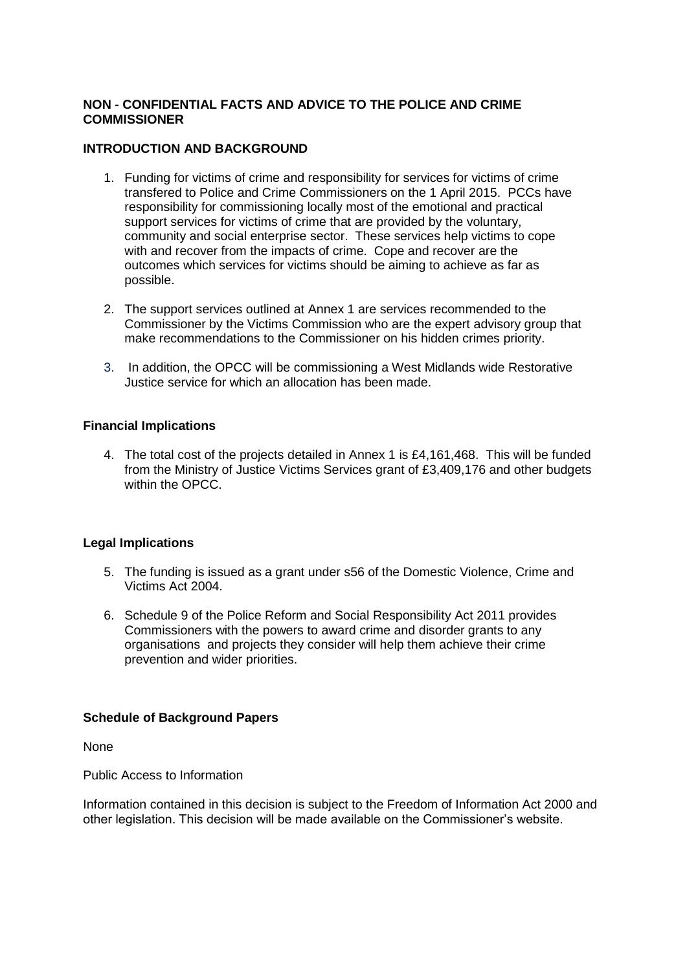### **NON - CONFIDENTIAL FACTS AND ADVICE TO THE POLICE AND CRIME COMMISSIONER**

#### **INTRODUCTION AND BACKGROUND**

- 1. Funding for victims of crime and responsibility for services for victims of crime transfered to Police and Crime Commissioners on the 1 April 2015. PCCs have responsibility for commissioning locally most of the emotional and practical support services for victims of crime that are provided by the voluntary, community and social enterprise sector. These services help victims to cope with and recover from the impacts of crime. Cope and recover are the outcomes which services for victims should be aiming to achieve as far as possible.
- 2. The support services outlined at Annex 1 are services recommended to the Commissioner by the Victims Commission who are the expert advisory group that make recommendations to the Commissioner on his hidden crimes priority.
- 3. In addition, the OPCC will be commissioning a West Midlands wide Restorative Justice service for which an allocation has been made.

### **Financial Implications**

4. The total cost of the projects detailed in Annex 1 is £4,161,468. This will be funded from the Ministry of Justice Victims Services grant of £3,409,176 and other budgets within the OPCC.

#### **Legal Implications**

- 5. The funding is issued as a grant under s56 of the Domestic Violence, Crime and Victims Act 2004.
- 6. Schedule 9 of the Police Reform and Social Responsibility Act 2011 provides Commissioners with the powers to award crime and disorder grants to any organisations and projects they consider will help them achieve their crime prevention and wider priorities.

#### **Schedule of Background Papers**

None

Public Access to Information

Information contained in this decision is subject to the Freedom of Information Act 2000 and other legislation. This decision will be made available on the Commissioner's website.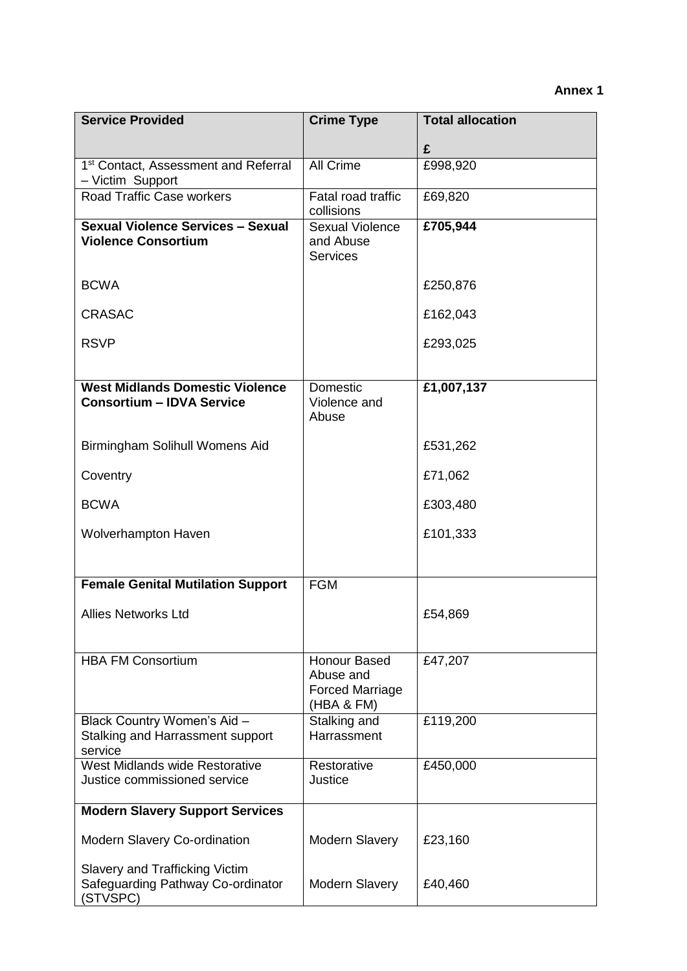| <b>Service Provided</b>                                                         | <b>Crime Type</b>                                                 | <b>Total allocation</b> |
|---------------------------------------------------------------------------------|-------------------------------------------------------------------|-------------------------|
|                                                                                 |                                                                   | £                       |
| 1 <sup>st</sup> Contact, Assessment and Referral<br>- Victim Support            | All Crime                                                         | £998,920                |
| Road Traffic Case workers                                                       | Fatal road traffic<br>collisions                                  | £69,820                 |
| <b>Sexual Violence Services - Sexual</b><br><b>Violence Consortium</b>          | <b>Sexual Violence</b><br>and Abuse<br><b>Services</b>            | £705,944                |
| <b>BCWA</b>                                                                     |                                                                   | £250,876                |
| <b>CRASAC</b>                                                                   |                                                                   | £162,043                |
| <b>RSVP</b>                                                                     |                                                                   | £293,025                |
| <b>West Midlands Domestic Violence</b><br><b>Consortium - IDVA Service</b>      | Domestic<br>Violence and<br>Abuse                                 | £1,007,137              |
| Birmingham Solihull Womens Aid                                                  |                                                                   | £531,262                |
| Coventry                                                                        |                                                                   | £71,062                 |
| <b>BCWA</b>                                                                     |                                                                   | £303,480                |
| Wolverhampton Haven                                                             |                                                                   | £101,333                |
| <b>Female Genital Mutilation Support</b>                                        | <b>FGM</b>                                                        |                         |
| <b>Allies Networks Ltd</b>                                                      |                                                                   | £54,869                 |
| <b>HBA FM Consortium</b>                                                        | Honour Based<br>Abuse and<br><b>Forced Marriage</b><br>(HBA & FM) | £47,207                 |
| Black Country Women's Aid -<br>Stalking and Harrassment support<br>service      | Stalking and<br>Harrassment                                       | £119,200                |
| West Midlands wide Restorative<br>Justice commissioned service                  | Restorative<br>Justice                                            | £450,000                |
| <b>Modern Slavery Support Services</b>                                          |                                                                   |                         |
| <b>Modern Slavery Co-ordination</b>                                             | <b>Modern Slavery</b>                                             | £23,160                 |
| Slavery and Trafficking Victim<br>Safeguarding Pathway Co-ordinator<br>(STVSPC) | <b>Modern Slavery</b>                                             | £40,460                 |